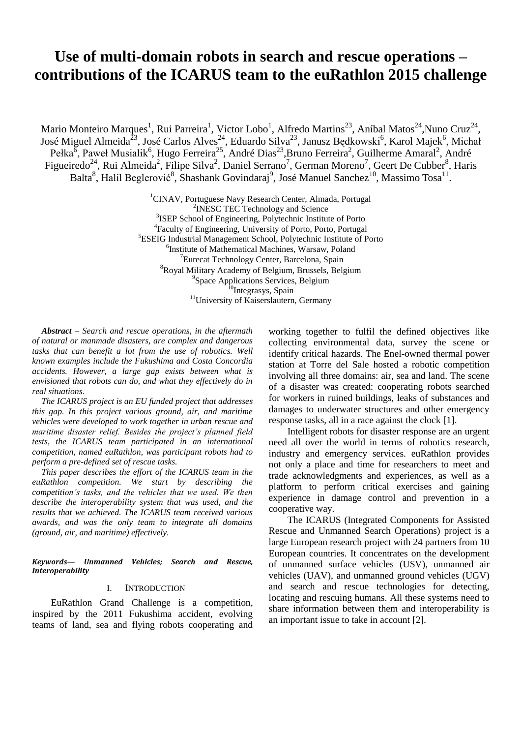# **Use of multi-domain robots in search and rescue operations – contributions of the ICARUS team to the euRathlon 2015 challenge**

Mario Monteiro Marques<sup>1</sup>, Rui Parreira<sup>1</sup>, Victor Lobo<sup>1</sup>, Alfredo Martins<sup>23</sup>, Aníbal Matos<sup>24</sup>,Nuno Cruz<sup>24</sup>, José Miguel Almeida<sup>23</sup>, José Carlos Alves<sup>24</sup>, Eduardo Silva<sup>23</sup>, Janusz Będkowski<sup>6</sup>, Karol Majek<sup>6</sup>, Michał Pełka<sup> $\bar{6}$ </sup>, Paweł Musialik<sup>6</sup>, Hugo Ferreira<sup>25</sup>, André Dias<sup>23</sup>, Bruno Ferreira<sup>2</sup>, Guilherme Amaral<sup>2</sup>, André Figueiredo<sup>24</sup>, Rui Almeida<sup>2</sup>, Filipe Silva<sup>2</sup>, Daniel Serrano<sup>7</sup>, German Moreno<sup>7</sup>, Geert De Cubber<sup>8</sup>, Haris Balta<sup>8</sup>, Halil Beglerović<sup>8</sup>, Shashank Govindaraj<sup>9</sup>, José Manuel Sanchez<sup>10</sup>, Massimo Tosa<sup>11</sup>.

> <sup>1</sup>CINAV, Portuguese Navy Research Center, Almada, Portugal <sup>2</sup>INESC TEC Technology and Science <sup>3</sup>ISEP School of Engineering, Polytechnic Institute of Porto 4 Faculty of Engineering, University of Porto, Porto, Portugal <sup>5</sup>ESEIG Industrial Management School, Polytechnic Institute of Porto 6 Institute of Mathematical Machines, Warsaw, Poland <sup>7</sup>Eurecat Technology Center, Barcelona, Spain 8 Royal Military Academy of Belgium, Brussels, Belgium <sup>9</sup>Space Applications Services, Belgium <sup>10</sup>Integrasys, Spain <sup>11</sup>University of Kaiserslautern, Germany

*Abstract – Search and rescue operations, in the aftermath of natural or manmade disasters, are complex and dangerous tasks that can benefit a lot from the use of robotics. Well known examples include the Fukushima and Costa Concordia accidents. However, a large gap exists between what is envisioned that robots can do, and what they effectively do in real situations.*

*The ICARUS project is an EU funded project that addresses this gap. In this project various ground, air, and maritime vehicles were developed to work together in urban rescue and maritime disaster relief. Besides the project's planned field tests, the ICARUS team participated in an international competition, named euRathlon, was participant robots had to perform a pre-defined set of rescue tasks.*

*This paper describes the effort of the ICARUS team in the euRathlon competition. We start by describing the competition's tasks, and the vehicles that we used. We then describe the interoperability system that was used, and the results that we achieved. The ICARUS team received various awards, and was the only team to integrate all domains (ground, air, and maritime) effectively.*

#### *Keywords— Unmanned Vehicles; Search and Rescue, Interoperability*

## I. INTRODUCTION

EuRathlon Grand Challenge is a competition, inspired by the 2011 Fukushima accident, evolving teams of land, sea and flying robots cooperating and working together to fulfil the defined objectives like collecting environmental data, survey the scene or identify critical hazards. The Enel-owned thermal power station at Torre del Sale hosted a robotic competition involving all three domains: air, sea and land. The scene of a disaster was created: cooperating robots searched for workers in ruined buildings, leaks of substances and damages to underwater structures and other emergency response tasks, all in a race against the clock [1].

Intelligent robots for disaster response are an urgent need all over the world in terms of robotics research, industry and emergency services. euRathlon provides not only a place and time for researchers to meet and trade acknowledgments and experiences, as well as a platform to perform critical exercises and gaining experience in damage control and prevention in a cooperative way.

The ICARUS (Integrated Components for Assisted Rescue and Unmanned Search Operations) project is a large European research project with 24 partners from 10 European countries. It concentrates on the development of unmanned surface vehicles (USV), unmanned air vehicles (UAV), and unmanned ground vehicles (UGV) and search and rescue technologies for detecting, locating and rescuing humans. All these systems need to share information between them and interoperability is an important issue to take in account [2].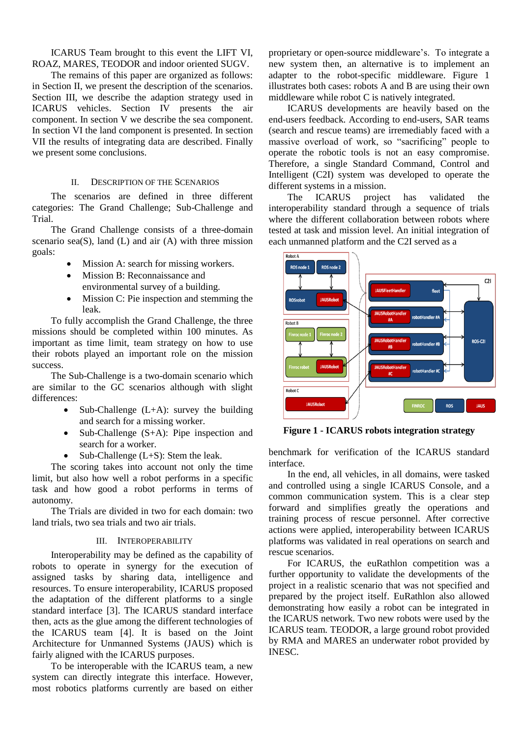ICARUS Team brought to this event the LIFT VI, ROAZ, MARES, TEODOR and indoor oriented SUGV.

The remains of this paper are organized as follows: in Section II, we present the description of the scenarios. Section III, we describe the adaption strategy used in ICARUS vehicles. Section IV presents the air component. In section V we describe the sea component. In section VI the land component is presented. In section VII the results of integrating data are described. Finally we present some conclusions.

## II. DESCRIPTION OF THE SCENARIOS

The scenarios are defined in three different categories: The Grand Challenge; Sub-Challenge and Trial.

The Grand Challenge consists of a three-domain scenario sea $(S)$ , land  $(L)$  and air  $(A)$  with three mission goals:

- Mission A: search for missing workers.
- Mission B: Reconnaissance and environmental survey of a building.
- Mission C: Pie inspection and stemming the leak.

To fully accomplish the Grand Challenge, the three missions should be completed within 100 minutes. As important as time limit, team strategy on how to use their robots played an important role on the mission success.

The Sub-Challenge is a two-domain scenario which are similar to the GC scenarios although with slight differences:

- Sub-Challenge  $(L+A)$ : survey the building and search for a missing worker.
- Sub-Challenge (S+A): Pipe inspection and search for a worker.
- Sub-Challenge  $(L+S)$ : Stem the leak.

The scoring takes into account not only the time limit, but also how well a robot performs in a specific task and how good a robot performs in terms of autonomy.

The Trials are divided in two for each domain: two land trials, two sea trials and two air trials.

## III. INTEROPERABILITY

Interoperability may be defined as the capability of robots to operate in synergy for the execution of assigned tasks by sharing data, intelligence and resources. To ensure interoperability, ICARUS proposed the adaptation of the different platforms to a single standard interface [\[3\].](#page-6-0) The ICARUS standard interface then, acts as the glue among the different technologies of the ICARUS team [\[4\].](#page-6-1) It is based on the Joint Architecture for Unmanned Systems (JAUS) which is fairly aligned with the ICARUS purposes.

To be interoperable with the ICARUS team, a new system can directly integrate this interface. However, most robotics platforms currently are based on either

proprietary or open-source middleware's. To integrate a new system then, an alternative is to implement an adapter to the robot-specific middleware. Figure 1 illustrates both cases: robots A and B are using their own middleware while robot C is natively integrated.

ICARUS developments are heavily based on the end-users feedback. According to end-users, SAR teams (search and rescue teams) are irremediably faced with a massive overload of work, so "sacrificing" people to operate the robotic tools is not an easy compromise. Therefore, a single Standard Command, Control and Intelligent (C2I) system was developed to operate the different systems in a mission.

The ICARUS project has validated the interoperability standard through a sequence of trials where the different collaboration between robots where tested at task and mission level. An initial integration of each unmanned platform and the C2I served as a



**Figure 1 - ICARUS robots integration strategy**

benchmark for verification of the ICARUS standard interface.

In the end, all vehicles, in all domains, were tasked and controlled using a single ICARUS Console, and a common communication system. This is a clear step forward and simplifies greatly the operations and training process of rescue personnel. After corrective actions were applied, interoperability between ICARUS platforms was validated in real operations on search and rescue scenarios.

For ICARUS, the euRathlon competition was a further opportunity to validate the developments of the project in a realistic scenario that was not specified and prepared by the project itself. EuRathlon also allowed demonstrating how easily a robot can be integrated in the ICARUS network. Two new robots were used by the ICARUS team. TEODOR, a large ground robot provided by RMA and MARES an underwater robot provided by INESC.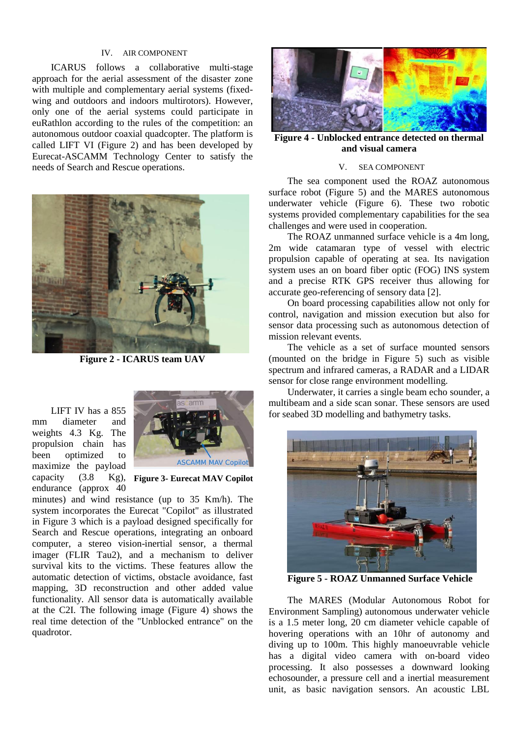# IV. AIR COMPONENT

ICARUS follows a collaborative multi-stage approach for the aerial assessment of the disaster zone with multiple and complementary aerial systems (fixedwing and outdoors and indoors multirotors). However, only one of the aerial systems could participate in euRathlon according to the rules of the competition: an autonomous outdoor coaxial quadcopter. The platform is called LIFT VI (Figure 2) and has been developed by Eurecat-ASCAMM Technology Center to satisfy the needs of Search and Rescue operations.



**Figure 2 - ICARUS team UAV**

LIFT IV has a 855 mm diameter and weights 4.3 Kg. The propulsion chain has been optimized to maximize the payload capacity  $(3.8)$ endurance (approx 40



**Figure 3- Eurecat MAV Copilot**

minutes) and wind resistance (up to 35 Km/h). The system incorporates the Eurecat "Copilot" as illustrated in Figure 3 which is a payload designed specifically for Search and Rescue operations, integrating an onboard computer, a stereo vision-inertial sensor, a thermal imager (FLIR Tau2), and a mechanism to deliver survival kits to the victims. These features allow the automatic detection of victims, obstacle avoidance, fast mapping, 3D reconstruction and other added value functionality. All sensor data is automatically available at the C2I. The following image (Figure 4) shows the real time detection of the "Unblocked entrance" on the quadrotor.



**Figure 4 - Unblocked entrance detected on thermal and visual camera**

#### V. SEA COMPONENT

The sea component used the ROAZ autonomous surface robot (Figure 5) and the MARES autonomous underwater vehicle (Figure 6). These two robotic systems provided complementary capabilities for the sea challenges and were used in cooperation.

The ROAZ unmanned surface vehicle is a 4m long, 2m wide catamaran type of vessel with electric propulsion capable of operating at sea. Its navigation system uses an on board fiber optic (FOG) INS system and a precise RTK GPS receiver thus allowing for accurate geo-referencing of sensory data [2].

On board processing capabilities allow not only for control, navigation and mission execution but also for sensor data processing such as autonomous detection of mission relevant events.

The vehicle as a set of surface mounted sensors (mounted on the bridge in Figure 5) such as visible spectrum and infrared cameras, a RADAR and a LIDAR sensor for close range environment modelling.

Underwater, it carries a single beam echo sounder, a multibeam and a side scan sonar. These sensors are used for seabed 3D modelling and bathymetry tasks.



**Figure 5 - ROAZ Unmanned Surface Vehicle**

The MARES (Modular Autonomous Robot for Environment Sampling) autonomous underwater vehicle is a 1.5 meter long, 20 cm diameter vehicle capable of hovering operations with an 10hr of autonomy and diving up to 100m. This highly manoeuvrable vehicle has a digital video camera with on-board video processing. It also possesses a downward looking echosounder, a pressure cell and a inertial measurement unit, as basic navigation sensors. An acoustic LBL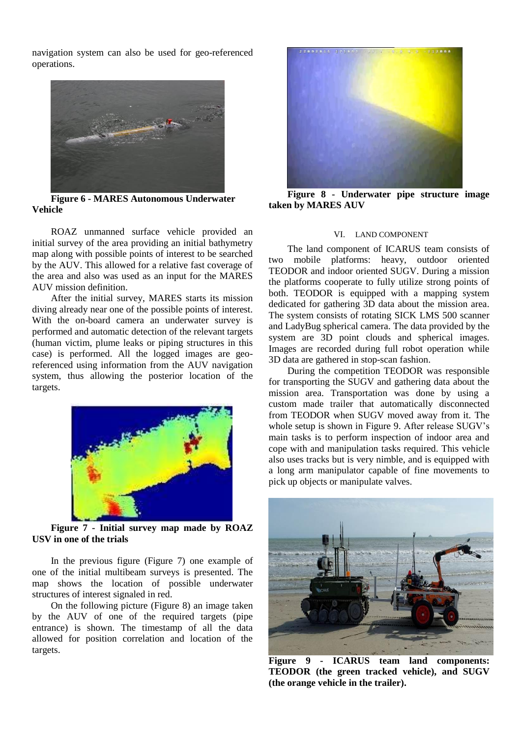navigation system can also be used for geo-referenced operations.



**Figure 6 - MARES Autonomous Underwater Vehicle**

ROAZ unmanned surface vehicle provided an initial survey of the area providing an initial bathymetry map along with possible points of interest to be searched by the AUV. This allowed for a relative fast coverage of the area and also was used as an input for the MARES AUV mission definition.

After the initial survey, MARES starts its mission diving already near one of the possible points of interest. With the on-board camera an underwater survey is performed and automatic detection of the relevant targets (human victim, plume leaks or piping structures in this case) is performed. All the logged images are georeferenced using information from the AUV navigation system, thus allowing the posterior location of the targets.



**Figure 7 - Initial survey map made by ROAZ USV in one of the trials**

In the previous figure (Figure 7) one example of one of the initial multibeam surveys is presented. The map shows the location of possible underwater structures of interest signaled in red.

On the following picture (Figure 8) an image taken by the AUV of one of the required targets (pipe entrance) is shown. The timestamp of all the data allowed for position correlation and location of the targets.



**Figure 8 - Underwater pipe structure image taken by MARES AUV**

## VI. LAND COMPONENT

The land component of ICARUS team consists of two mobile platforms: heavy, outdoor oriented TEODOR and indoor oriented SUGV. During a mission the platforms cooperate to fully utilize strong points of both. TEODOR is equipped with a mapping system dedicated for gathering 3D data about the mission area. The system consists of rotating SICK LMS 500 scanner and LadyBug spherical camera. The data provided by the system are 3D point clouds and spherical images. Images are recorded during full robot operation while 3D data are gathered in stop-scan fashion.

During the competition TEODOR was responsible for transporting the SUGV and gathering data about the mission area. Transportation was done by using a custom made trailer that automatically disconnected from TEODOR when SUGV moved away from it. The whole setup is shown in Figure 9. After release SUGV's main tasks is to perform inspection of indoor area and cope with and manipulation tasks required. This vehicle also uses tracks but is very nimble, and is equipped with a long arm manipulator capable of fine movements to pick up objects or manipulate valves.



**Figure 9 - ICARUS team land components: TEODOR (the green tracked vehicle), and SUGV (the orange vehicle in the trailer).**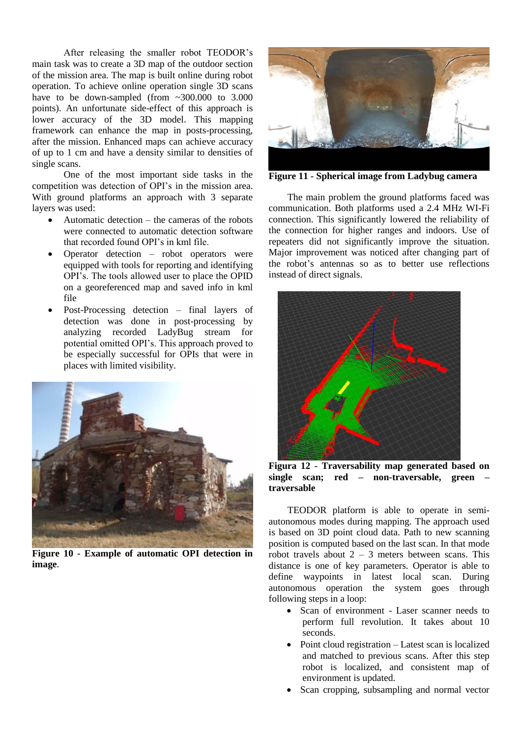After releasing the smaller robot TEODOR's main task was to create a 3D map of the outdoor section of the mission area. The map is built online during robot operation. To achieve online operation single 3D scans have to be down-sampled (from ~300.000 to 3.000 points). An unfortunate side-effect of this approach is lower accuracy of the 3D model. This mapping framework can enhance the map in posts-processing, after the mission. Enhanced maps can achieve accuracy of up to 1 cm and have a density similar to densities of single scans.

One of the most important side tasks in the competition was detection of OPI's in the mission area. With ground platforms an approach with 3 separate layers was used:

- Automatic detection the cameras of the robots were connected to automatic detection software that recorded found OPI's in kml file.
- Operator detection robot operators were equipped with tools for reporting and identifying OPI's. The tools allowed user to place the OPID on a georeferenced map and saved info in kml file
- Post-Processing detection final layers of detection was done in post-processing by analyzing recorded LadyBug stream for potential omitted OPI's. This approach proved to be especially successful for OPIs that were in places with limited visibility.



**Figure 10 - Example of automatic OPI detection in image**.



**Figure 11 - Spherical image from Ladybug camera**

The main problem the ground platforms faced was communication. Both platforms used a 2.4 MHz WI-Fi connection. This significantly lowered the reliability of the connection for higher ranges and indoors. Use of repeaters did not significantly improve the situation. Major improvement was noticed after changing part of the robot's antennas so as to better use reflections instead of direct signals.



**Figura 12 - Traversability map generated based on single scan; red – non-traversable, green – traversable**

TEODOR platform is able to operate in semiautonomous modes during mapping. The approach used is based on 3D point cloud data. Path to new scanning position is computed based on the last scan. In that mode robot travels about  $2 - 3$  meters between scans. This distance is one of key parameters. Operator is able to define waypoints in latest local scan. During autonomous operation the system goes through following steps in a loop:

- Scan of environment Laser scanner needs to perform full revolution. It takes about 10 seconds.
- Point cloud registration Latest scan is localized and matched to previous scans. After this step robot is localized, and consistent map of environment is updated.
- Scan cropping, subsampling and normal vector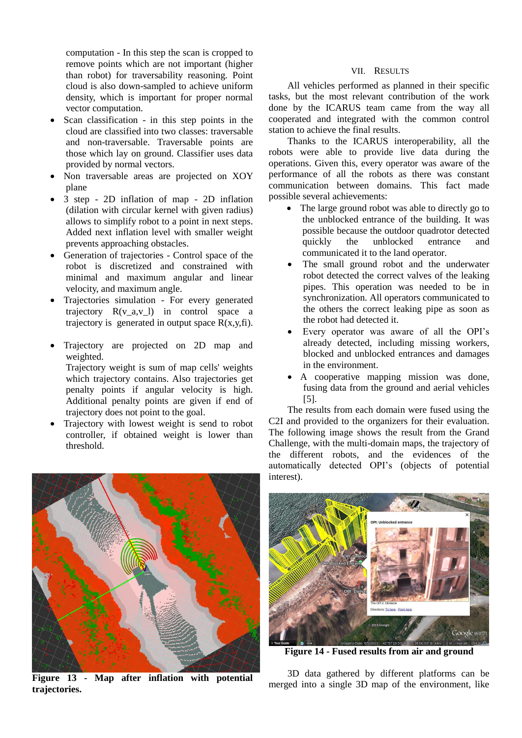computation - In this step the scan is cropped to remove points which are not important (higher than robot) for traversability reasoning. Point cloud is also down-sampled to achieve uniform density, which is important for proper normal vector computation.

- Scan classification in this step points in the cloud are classified into two classes: traversable and non-traversable. Traversable points are those which lay on ground. Classifier uses data provided by normal vectors.
- Non traversable areas are projected on XOY plane
- 3 step 2D inflation of map 2D inflation (dilation with circular kernel with given radius) allows to simplify robot to a point in next steps. Added next inflation level with smaller weight prevents approaching obstacles.
- Generation of trajectories Control space of the robot is discretized and constrained with minimal and maximum angular and linear velocity, and maximum angle.
- Trajectories simulation For every generated trajectory R(v\_a,v\_l) in control space a trajectory is generated in output space  $R(x,y,fi)$ .
- Trajectory are projected on 2D map and weighted.

Trajectory weight is sum of map cells' weights which trajectory contains. Also trajectories get penalty points if angular velocity is high. Additional penalty points are given if end of trajectory does not point to the goal.

 Trajectory with lowest weight is send to robot controller, if obtained weight is lower than threshold.

# VII. RESULTS

All vehicles performed as planned in their specific tasks, but the most relevant contribution of the work done by the ICARUS team came from the way all cooperated and integrated with the common control station to achieve the final results.

Thanks to the ICARUS interoperability, all the robots were able to provide live data during the operations. Given this, every operator was aware of the performance of all the robots as there was constant communication between domains. This fact made possible several achievements:

- The large ground robot was able to directly go to the unblocked entrance of the building. It was possible because the outdoor quadrotor detected quickly the unblocked entrance and communicated it to the land operator.
- The small ground robot and the underwater robot detected the correct valves of the leaking pipes. This operation was needed to be in synchronization. All operators communicated to the others the correct leaking pipe as soon as the robot had detected it.
- Every operator was aware of all the OPI's already detected, including missing workers, blocked and unblocked entrances and damages in the environment.
- A cooperative mapping mission was done, fusing data from the ground and aerial vehicles [\[5\].](#page-6-2)

The results from each domain were fused using the C2I and provided to the organizers for their evaluation. The following image shows the result from the Grand Challenge, with the multi-domain maps, the trajectory of the different robots, and the evidences of the automatically detected OPI's (objects of potential interest).



**Figure 13 - Map after inflation with potential trajectories.**



**Figure 14 - Fused results from air and ground**

3D data gathered by different platforms can be merged into a single 3D map of the environment, like